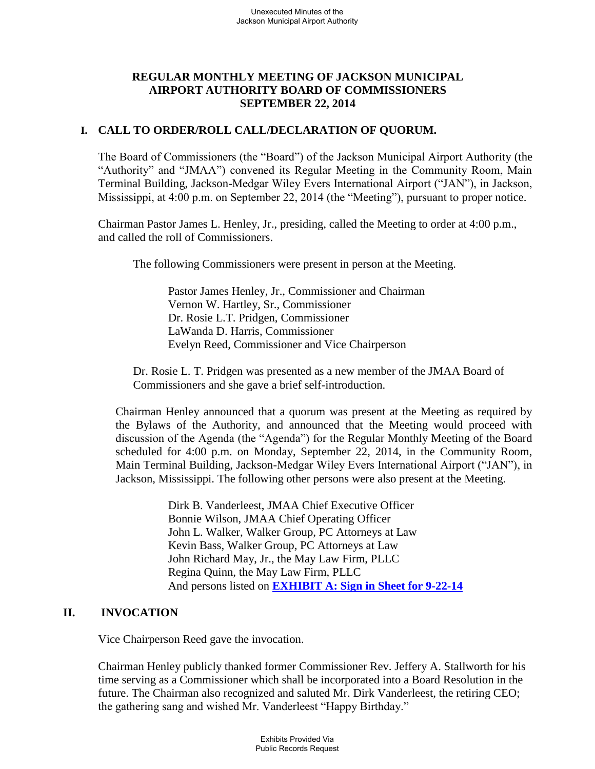# **REGULAR MONTHLY MEETING OF JACKSON MUNICIPAL AIRPORT AUTHORITY BOARD OF COMMISSIONERS SEPTEMBER 22, 2014**

# **I. CALL TO ORDER/ROLL CALL/DECLARATION OF QUORUM.**

The Board of Commissioners (the "Board") of the Jackson Municipal Airport Authority (the "Authority" and "JMAA") convened its Regular Meeting in the Community Room, Main Terminal Building, Jackson-Medgar Wiley Evers International Airport ("JAN"), in Jackson, Mississippi, at 4:00 p.m. on September 22, 2014 (the "Meeting"), pursuant to proper notice.

Chairman Pastor James L. Henley, Jr., presiding, called the Meeting to order at 4:00 p.m., and called the roll of Commissioners.

The following Commissioners were present in person at the Meeting.

Pastor James Henley, Jr., Commissioner and Chairman Vernon W. Hartley, Sr., Commissioner Dr. Rosie L.T. Pridgen, Commissioner LaWanda D. Harris, Commissioner Evelyn Reed, Commissioner and Vice Chairperson

Dr. Rosie L. T. Pridgen was presented as a new member of the JMAA Board of Commissioners and she gave a brief self-introduction.

Chairman Henley announced that a quorum was present at the Meeting as required by the Bylaws of the Authority, and announced that the Meeting would proceed with discussion of the Agenda (the "Agenda") for the Regular Monthly Meeting of the Board scheduled for 4:00 p.m. on Monday, September 22, 2014, in the Community Room, Main Terminal Building, Jackson-Medgar Wiley Evers International Airport ("JAN"), in Jackson, Mississippi. The following other persons were also present at the Meeting.

> Dirk B. Vanderleest, JMAA Chief Executive Officer Bonnie Wilson, JMAA Chief Operating Officer John L. Walker, Walker Group, PC Attorneys at Law Kevin Bass, Walker Group, PC Attorneys at Law John Richard May, Jr., the May Law Firm, PLLC Regina Quinn, the May Law Firm, PLLC And persons listed on **[EXHIBIT A: Sign in Sheet for 9-22-14](file://walker2008-1/Walker/WWSTAFF/Work/JMAA4324/BOARD%20MEETINGS/2014-09%20Board)**

# **II. INVOCATION**

Vice Chairperson Reed gave the invocation.

Chairman Henley publicly thanked former Commissioner Rev. Jeffery A. Stallworth for his time serving as a Commissioner which shall be incorporated into a Board Resolution in the future. The Chairman also recognized and saluted Mr. Dirk Vanderleest, the retiring CEO; the gathering sang and wished Mr. Vanderleest "Happy Birthday."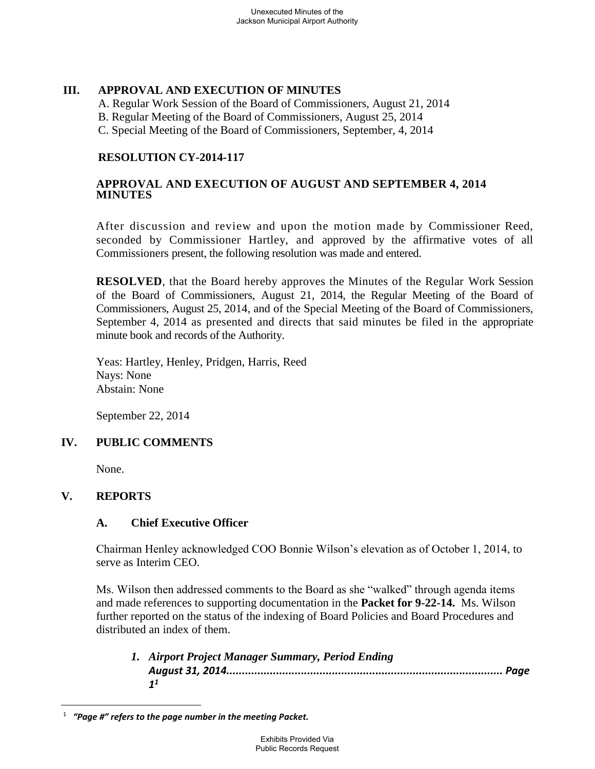# **III. APPROVAL AND EXECUTION OF MINUTES**

A. Regular Work Session of the Board of Commissioners, August 21, 2014

B. Regular Meeting of the Board of Commissioners, August 25, 2014

C. Special Meeting of the Board of Commissioners, September, 4, 2014

# **RESOLUTION CY-2014-117**

### **APPROVAL AND EXECUTION OF AUGUST AND SEPTEMBER 4, 2014 MINUTES**

After discussion and review and upon the motion made by Commissioner Reed, seconded by Commissioner Hartley, and approved by the affirmative votes of all Commissioners present, the following resolution was made and entered.

**RESOLVED**, that the Board hereby approves the Minutes of the Regular Work Session of the Board of Commissioners, August 21, 2014, the Regular Meeting of the Board of Commissioners, August 25, 2014, and of the Special Meeting of the Board of Commissioners, September 4, 2014 as presented and directs that said minutes be filed in the appropriate minute book and records of the Authority.

Yeas: Hartley, Henley, Pridgen, Harris, Reed Nays: None Abstain: None

September 22, 2014

# **IV. PUBLIC COMMENTS**

None.

# **V. REPORTS**

 $\overline{a}$ 

# **A. Chief Executive Officer**

Chairman Henley acknowledged COO Bonnie Wilson's elevation as of October 1, 2014, to serve as Interim CEO.

Ms. Wilson then addressed comments to the Board as she "walked" through agenda items and made references to supporting documentation in the **Packet for 9-22-14.** Ms. Wilson further reported on the status of the indexing of Board Policies and Board Procedures and distributed an index of them.

*1. Airport Project Manager Summary, Period Ending August 31, 2014......................................................................................... Page 1 1*

<sup>1</sup>  *"Page #" refers to the page number in the meeting Packet.*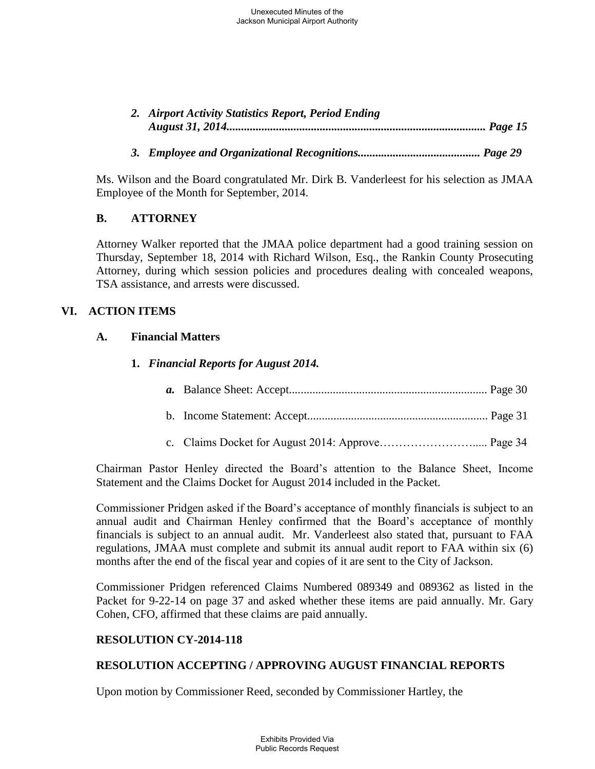| 2. Airport Activity Statistics Report, Period Ending |  |
|------------------------------------------------------|--|
|                                                      |  |

*3. Employee and Organizational Recognitions.......................................... Page 29* 

Ms. Wilson and the Board congratulated Mr. Dirk B. Vanderleest for his selection as JMAA Employee of the Month for September, 2014.

### **B. ATTORNEY**

Attorney Walker reported that the JMAA police department had a good training session on Thursday, September 18, 2014 with Richard Wilson, Esq., the Rankin County Prosecuting Attorney, during which session policies and procedures dealing with concealed weapons, TSA assistance, and arrests were discussed.

### **VI. ACTION ITEMS**

#### **A. Financial Matters**

# **1.** *Financial Reports for August 2014.*

- *a.* Balance Sheet: Accept.................................................................... Page 30
- b. Income Statement: Accept.............................................................. Page 31
- c. Claims Docket for August 2014: Approve……………………..... Page 34

Chairman Pastor Henley directed the Board's attention to the Balance Sheet, Income Statement and the Claims Docket for August 2014 included in the Packet.

Commissioner Pridgen asked if the Board's acceptance of monthly financials is subject to an annual audit and Chairman Henley confirmed that the Board's acceptance of monthly financials is subject to an annual audit. Mr. Vanderleest also stated that, pursuant to FAA regulations, JMAA must complete and submit its annual audit report to FAA within six (6) months after the end of the fiscal year and copies of it are sent to the City of Jackson.

Commissioner Pridgen referenced Claims Numbered 089349 and 089362 as listed in the Packet for 9-22-14 on page 37 and asked whether these items are paid annually. Mr. Gary Cohen, CFO, affirmed that these claims are paid annually.

#### **RESOLUTION CY-2014-118**

# **RESOLUTION ACCEPTING / APPROVING AUGUST FINANCIAL REPORTS**

Upon motion by Commissioner Reed, seconded by Commissioner Hartley, the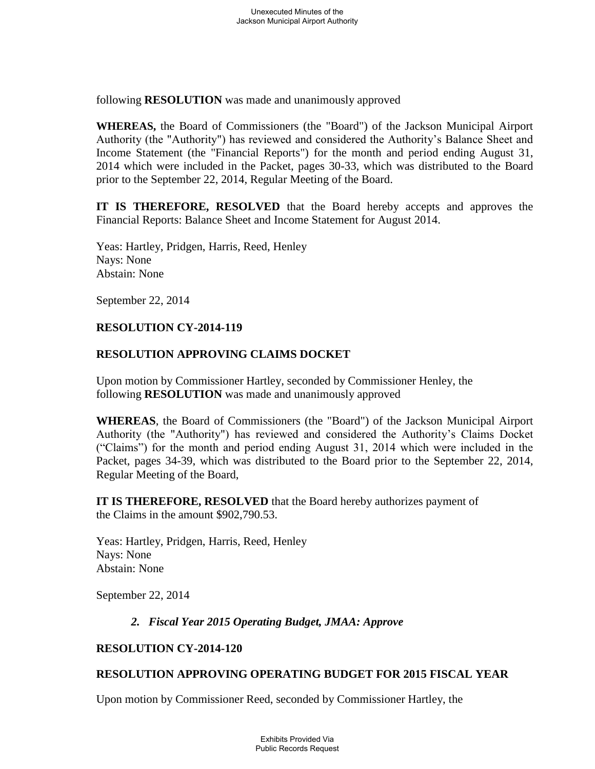following **RESOLUTION** was made and unanimously approved

**WHEREAS,** the Board of Commissioners (the "Board") of the Jackson Municipal Airport Authority (the "Authority") has reviewed and considered the Authority's Balance Sheet and Income Statement (the "Financial Reports") for the month and period ending August 31, 2014 which were included in the Packet, pages 30-33, which was distributed to the Board prior to the September 22, 2014, Regular Meeting of the Board.

**IT IS THEREFORE, RESOLVED** that the Board hereby accepts and approves the Financial Reports: Balance Sheet and Income Statement for August 2014.

Yeas: Hartley, Pridgen, Harris, Reed, Henley Nays: None Abstain: None

September 22, 2014

#### **RESOLUTION CY-2014-119**

### **RESOLUTION APPROVING CLAIMS DOCKET**

Upon motion by Commissioner Hartley, seconded by Commissioner Henley, the following **RESOLUTION** was made and unanimously approved

**WHEREAS**, the Board of Commissioners (the "Board") of the Jackson Municipal Airport Authority (the "Authority") has reviewed and considered the Authority's Claims Docket ("Claims") for the month and period ending August 31, 2014 which were included in the Packet, pages 34-39, which was distributed to the Board prior to the September 22, 2014, Regular Meeting of the Board,

**IT IS THEREFORE, RESOLVED** that the Board hereby authorizes payment of the Claims in the amount \$902,790.53.

Yeas: Hartley, Pridgen, Harris, Reed, Henley Nays: None Abstain: None

September 22, 2014

# *2. Fiscal Year 2015 Operating Budget, JMAA: Approve*

#### **RESOLUTION CY-2014-120**

# **RESOLUTION APPROVING OPERATING BUDGET FOR 2015 FISCAL YEAR**

Upon motion by Commissioner Reed, seconded by Commissioner Hartley, the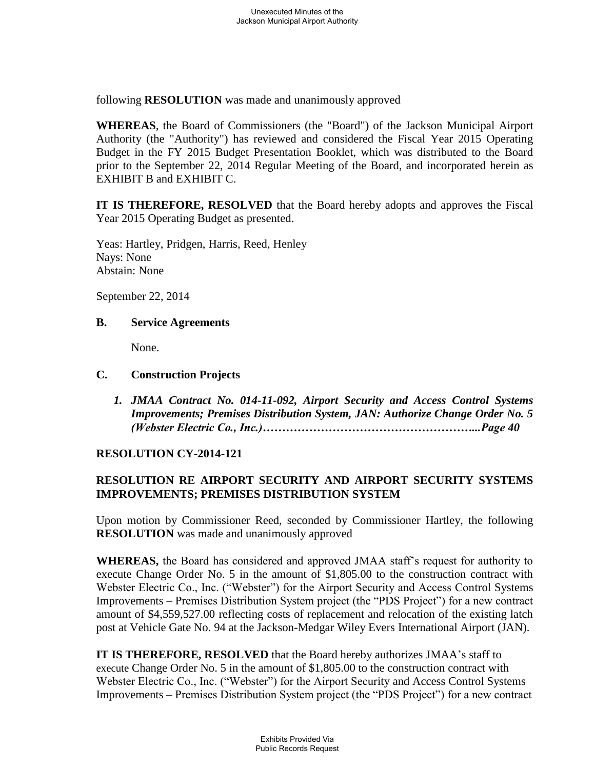following **RESOLUTION** was made and unanimously approved

**WHEREAS**, the Board of Commissioners (the "Board") of the Jackson Municipal Airport Authority (the "Authority") has reviewed and considered the Fiscal Year 2015 Operating Budget in the FY 2015 Budget Presentation Booklet, which was distributed to the Board prior to the September 22, 2014 Regular Meeting of the Board, and incorporated herein as EXHIBIT B and EXHIBIT C.

**IT IS THEREFORE, RESOLVED** that the Board hereby adopts and approves the Fiscal Year 2015 Operating Budget as presented.

Yeas: Hartley, Pridgen, Harris, Reed, Henley Nays: None Abstain: None

September 22, 2014

#### **B. Service Agreements**

None.

#### **C. Construction Projects**

*1. JMAA Contract No. 014-11-092, Airport Security and Access Control Systems Improvements; Premises Distribution System, JAN: Authorize Change Order No. 5 (Webster Electric Co., Inc.)………………………………………………...Page 40* 

#### **RESOLUTION CY-2014-121**

# **RESOLUTION RE AIRPORT SECURITY AND AIRPORT SECURITY SYSTEMS IMPROVEMENTS; PREMISES DISTRIBUTION SYSTEM**

Upon motion by Commissioner Reed, seconded by Commissioner Hartley, the following **RESOLUTION** was made and unanimously approved

**WHEREAS,** the Board has considered and approved JMAA staff's request for authority to execute Change Order No. 5 in the amount of \$1,805.00 to the construction contract with Webster Electric Co., Inc. ("Webster") for the Airport Security and Access Control Systems Improvements – Premises Distribution System project (the "PDS Project") for a new contract amount of \$4,559,527.00 reflecting costs of replacement and relocation of the existing latch post at Vehicle Gate No. 94 at the Jackson-Medgar Wiley Evers International Airport (JAN).

**IT IS THEREFORE, RESOLVED** that the Board hereby authorizes JMAA's staff to execute Change Order No. 5 in the amount of \$1,805.00 to the construction contract with Webster Electric Co., Inc. ("Webster") for the Airport Security and Access Control Systems Improvements – Premises Distribution System project (the "PDS Project") for a new contract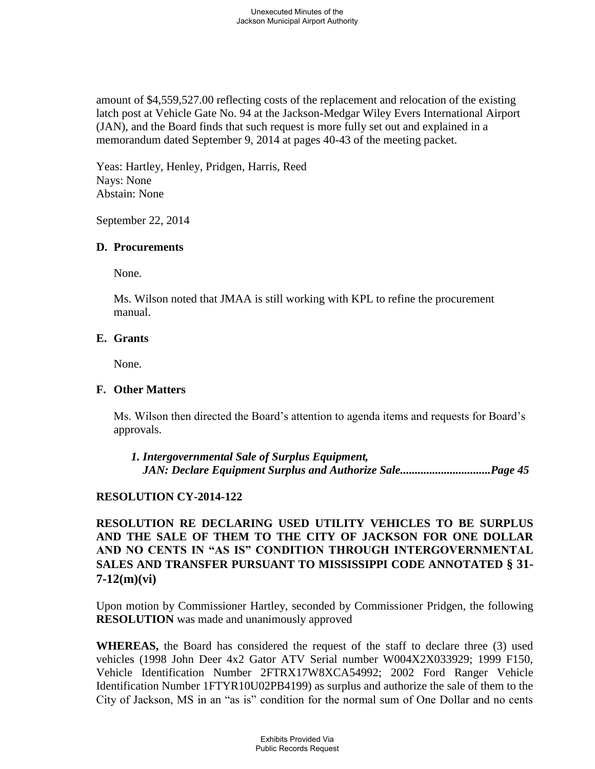amount of \$4,559,527.00 reflecting costs of the replacement and relocation of the existing latch post at Vehicle Gate No. 94 at the Jackson-Medgar Wiley Evers International Airport (JAN), and the Board finds that such request is more fully set out and explained in a memorandum dated September 9, 2014 at pages 40-43 of the meeting packet.

Yeas: Hartley, Henley, Pridgen, Harris, Reed Nays: None Abstain: None

September 22, 2014

### **D. Procurements**

None.

Ms. Wilson noted that JMAA is still working with KPL to refine the procurement manual.

# **E. Grants**

None.

# **F. Other Matters**

Ms. Wilson then directed the Board's attention to agenda items and requests for Board's approvals.

*1. Intergovernmental Sale of Surplus Equipment, JAN: Declare Equipment Surplus and Authorize Sale...............................Page 45*

# **RESOLUTION CY-2014-122**

**RESOLUTION RE DECLARING USED UTILITY VEHICLES TO BE SURPLUS AND THE SALE OF THEM TO THE CITY OF JACKSON FOR ONE DOLLAR AND NO CENTS IN "AS IS" CONDITION THROUGH INTERGOVERNMENTAL SALES AND TRANSFER PURSUANT TO MISSISSIPPI CODE ANNOTATED § 31- 7-12(m)(vi)**

Upon motion by Commissioner Hartley, seconded by Commissioner Pridgen, the following **RESOLUTION** was made and unanimously approved

**WHEREAS,** the Board has considered the request of the staff to declare three (3) used vehicles (1998 John Deer 4x2 Gator ATV Serial number W004X2X033929; 1999 F150, Vehicle Identification Number 2FTRX17W8XCA54992; 2002 Ford Ranger Vehicle Identification Number 1FTYR10U02PB4199) as surplus and authorize the sale of them to the City of Jackson, MS in an "as is" condition for the normal sum of One Dollar and no cents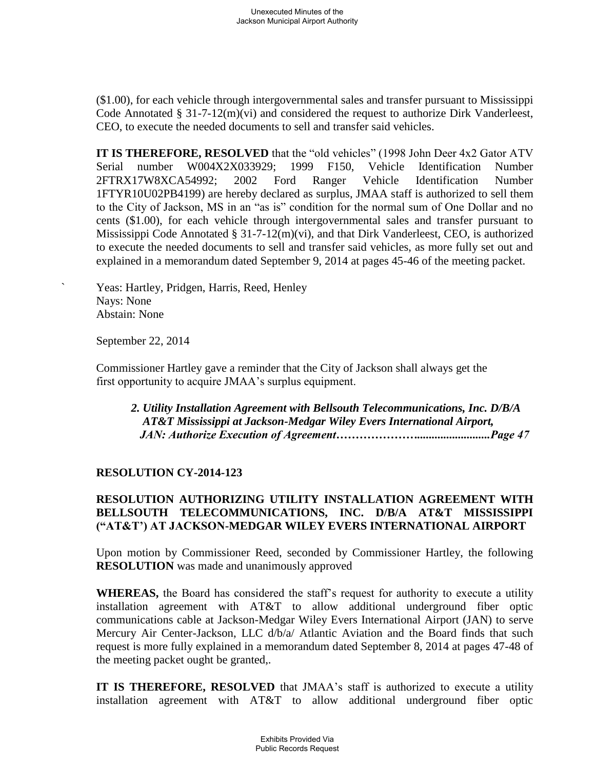(\$1.00), for each vehicle through intergovernmental sales and transfer pursuant to Mississippi Code Annotated § 31-7-12(m)(vi) and considered the request to authorize Dirk Vanderleest, CEO, to execute the needed documents to sell and transfer said vehicles.

**IT IS THEREFORE, RESOLVED** that the "old vehicles" (1998 John Deer 4x2 Gator ATV Serial number W004X2X033929; 1999 F150, Vehicle Identification Number 2FTRX17W8XCA54992; 2002 Ford Ranger Vehicle Identification Number 1FTYR10U02PB4199) are hereby declared as surplus, JMAA staff is authorized to sell them to the City of Jackson, MS in an "as is" condition for the normal sum of One Dollar and no cents (\$1.00), for each vehicle through intergovernmental sales and transfer pursuant to Mississippi Code Annotated §  $31-7-12(m)(vi)$ , and that Dirk Vanderleest, CEO, is authorized to execute the needed documents to sell and transfer said vehicles, as more fully set out and explained in a memorandum dated September 9, 2014 at pages 45-46 of the meeting packet.

Yeas: Hartley, Pridgen, Harris, Reed, Henley Nays: None Abstain: None

September 22, 2014

 Commissioner Hartley gave a reminder that the City of Jackson shall always get the first opportunity to acquire JMAA's surplus equipment.

*2. Utility Installation Agreement with Bellsouth Telecommunications, Inc. D/B/A AT&T Mississippi at Jackson-Medgar Wiley Evers International Airport, JAN: Authorize Execution of Agreement………………….........................Page 47*

# **RESOLUTION CY-2014-123**

# **RESOLUTION AUTHORIZING UTILITY INSTALLATION AGREEMENT WITH BELLSOUTH TELECOMMUNICATIONS, INC. D/B/A AT&T MISSISSIPPI ("AT&T') AT JACKSON-MEDGAR WILEY EVERS INTERNATIONAL AIRPORT**

Upon motion by Commissioner Reed, seconded by Commissioner Hartley, the following **RESOLUTION** was made and unanimously approved

**WHEREAS,** the Board has considered the staff's request for authority to execute a utility installation agreement with AT&T to allow additional underground fiber optic communications cable at Jackson-Medgar Wiley Evers International Airport (JAN) to serve Mercury Air Center-Jackson, LLC d/b/a/ Atlantic Aviation and the Board finds that such request is more fully explained in a memorandum dated September 8, 2014 at pages 47-48 of the meeting packet ought be granted,.

**IT IS THEREFORE, RESOLVED** that JMAA's staff is authorized to execute a utility installation agreement with AT&T to allow additional underground fiber optic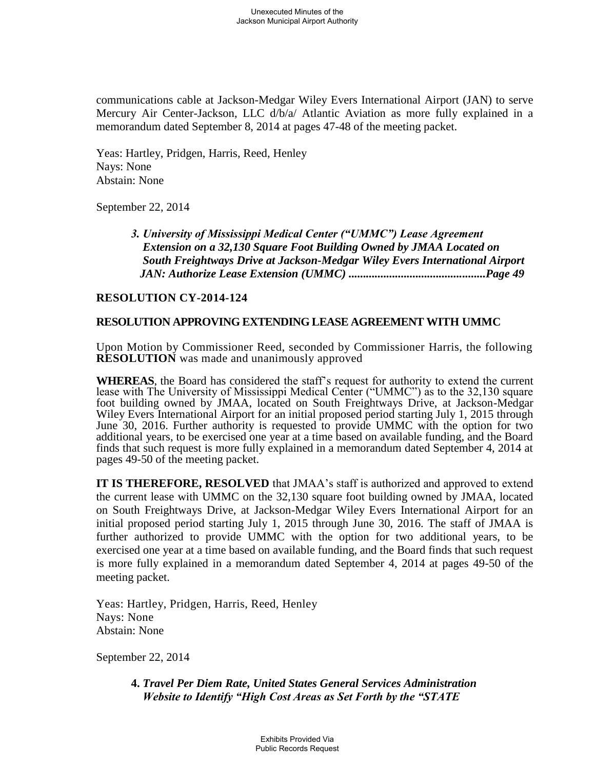communications cable at Jackson-Medgar Wiley Evers International Airport (JAN) to serve Mercury Air Center-Jackson, LLC d/b/a/ Atlantic Aviation as more fully explained in a memorandum dated September 8, 2014 at pages 47-48 of the meeting packet.

Yeas: Hartley, Pridgen, Harris, Reed, Henley Nays: None Abstain: None

September 22, 2014

*3. University of Mississippi Medical Center ("UMMC") Lease Agreement Extension on a 32,130 Square Foot Building Owned by JMAA Located on South Freightways Drive at Jackson-Medgar Wiley Evers International Airport JAN: Authorize Lease Extension (UMMC) ...............................................Page 49*

#### **RESOLUTION CY-2014-124**

### **RESOLUTION APPROVING EXTENDING LEASE AGREEMENT WITH UMMC**

Upon Motion by Commissioner Reed, seconded by Commissioner Harris, the following **RESOLUTION** was made and unanimously approved

**WHEREAS**, the Board has considered the staff's request for authority to extend the current lease with The University of Mississippi Medical Center ("UMMC") as to the 32,130 square foot building owned by JMAA, located on South Freightways Drive, at Jackson-Medgar Wiley Evers International Airport for an initial proposed period starting July 1, 2015 through June 30, 2016. Further authority is requested to provide UMMC with the option for two additional years, to be exercised one year at a time based on available funding, and the Board finds that such request is more fully explained in a memorandum dated September 4, 2014 at pages 49-50 of the meeting packet.

**IT IS THEREFORE, RESOLVED** that JMAA's staff is authorized and approved to extend the current lease with UMMC on the 32,130 square foot building owned by JMAA, located on South Freightways Drive, at Jackson-Medgar Wiley Evers International Airport for an initial proposed period starting July 1, 2015 through June 30, 2016. The staff of JMAA is further authorized to provide UMMC with the option for two additional years, to be exercised one year at a time based on available funding, and the Board finds that such request is more fully explained in a memorandum dated September 4, 2014 at pages 49-50 of the meeting packet.

Yeas: Hartley, Pridgen, Harris, Reed, Henley Nays: None Abstain: None

September 22, 2014

**4.** *Travel Per Diem Rate, United States General Services Administration Website to Identify "High Cost Areas as Set Forth by the "STATE*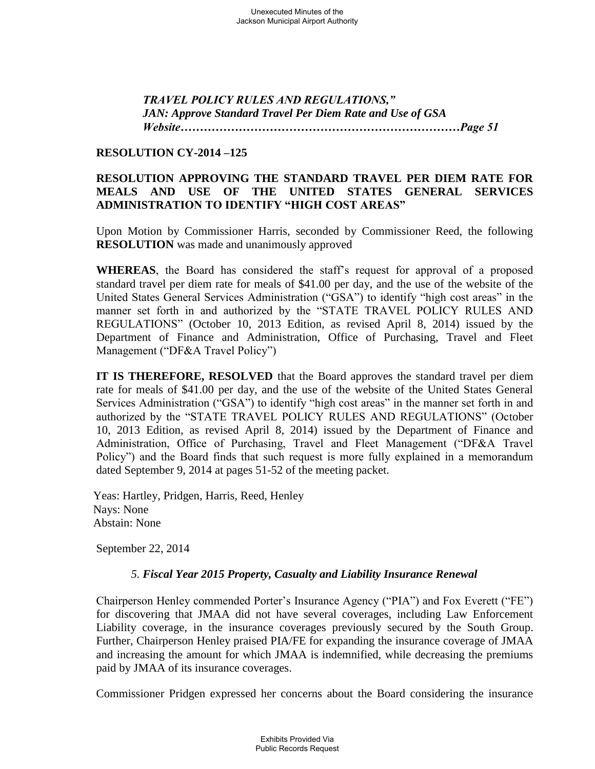*TRAVEL POLICY RULES AND REGULATIONS," JAN: Approve Standard Travel Per Diem Rate and Use of GSA Website………………………………………………………………Page 51*

# **RESOLUTION CY-2014 –125**

# **RESOLUTION APPROVING THE STANDARD TRAVEL PER DIEM RATE FOR MEALS AND USE OF THE UNITED STATES GENERAL SERVICES ADMINISTRATION TO IDENTIFY "HIGH COST AREAS"**

Upon Motion by Commissioner Harris, seconded by Commissioner Reed, the following **RESOLUTION** was made and unanimously approved

**WHEREAS**, the Board has considered the staff's request for approval of a proposed standard travel per diem rate for meals of \$41.00 per day, and the use of the website of the United States General Services Administration ("GSA") to identify "high cost areas" in the manner set forth in and authorized by the "STATE TRAVEL POLICY RULES AND REGULATIONS" (October 10, 2013 Edition, as revised April 8, 2014) issued by the Department of Finance and Administration, Office of Purchasing, Travel and Fleet Management ("DF&A Travel Policy")

**IT IS THEREFORE, RESOLVED** that the Board approves the standard travel per diem rate for meals of \$41.00 per day, and the use of the website of the United States General Services Administration ("GSA") to identify "high cost areas" in the manner set forth in and authorized by the "STATE TRAVEL POLICY RULES AND REGULATIONS" (October 10, 2013 Edition, as revised April 8, 2014) issued by the Department of Finance and Administration, Office of Purchasing, Travel and Fleet Management ("DF&A Travel Policy") and the Board finds that such request is more fully explained in a memorandum dated September 9, 2014 at pages 51-52 of the meeting packet.

 Yeas: Hartley, Pridgen, Harris, Reed, Henley Nays: None Abstain: None

September 22, 2014

# *5. Fiscal Year 2015 Property, Casualty and Liability Insurance Renewal*

Chairperson Henley commended Porter's Insurance Agency ("PIA") and Fox Everett ("FE") for discovering that JMAA did not have several coverages, including Law Enforcement Liability coverage, in the insurance coverages previously secured by the South Group. Further, Chairperson Henley praised PIA/FE for expanding the insurance coverage of JMAA and increasing the amount for which JMAA is indemnified, while decreasing the premiums paid by JMAA of its insurance coverages.

Commissioner Pridgen expressed her concerns about the Board considering the insurance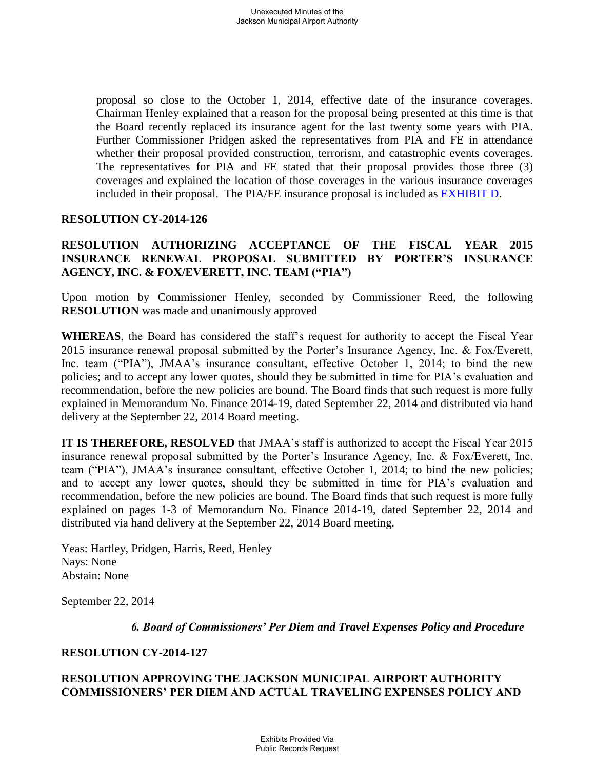proposal so close to the October 1, 2014, effective date of the insurance coverages. Chairman Henley explained that a reason for the proposal being presented at this time is that the Board recently replaced its insurance agent for the last twenty some years with PIA. Further Commissioner Pridgen asked the representatives from PIA and FE in attendance whether their proposal provided construction, terrorism, and catastrophic events coverages. The representatives for PIA and FE stated that their proposal provides those three (3) coverages and explained the location of those coverages in the various insurance coverages included in their proposal. The PIA/FE insurance proposal is included as [EXHIBIT D.](file://walker2008-1/Walker/WWSTAFF/Work/JMAA4324/BOARD%20MEETINGS/2014-09%20Bo)

### **RESOLUTION CY-2014-126**

# **RESOLUTION AUTHORIZING ACCEPTANCE OF THE FISCAL YEAR 2015 INSURANCE RENEWAL PROPOSAL SUBMITTED BY PORTER'S INSURANCE AGENCY, INC. & FOX/EVERETT, INC. TEAM ("PIA")**

Upon motion by Commissioner Henley, seconded by Commissioner Reed, the following **RESOLUTION** was made and unanimously approved

**WHEREAS**, the Board has considered the staff's request for authority to accept the Fiscal Year 2015 insurance renewal proposal submitted by the Porter's Insurance Agency, Inc. & Fox/Everett, Inc. team ("PIA"), JMAA's insurance consultant, effective October 1, 2014; to bind the new policies; and to accept any lower quotes, should they be submitted in time for PIA's evaluation and recommendation, before the new policies are bound. The Board finds that such request is more fully explained in Memorandum No. Finance 2014-19, dated September 22, 2014 and distributed via hand delivery at the September 22, 2014 Board meeting.

**IT IS THEREFORE, RESOLVED** that JMAA's staff is authorized to accept the Fiscal Year 2015 insurance renewal proposal submitted by the Porter's Insurance Agency, Inc. & Fox/Everett, Inc. team ("PIA"), JMAA's insurance consultant, effective October 1, 2014; to bind the new policies; and to accept any lower quotes, should they be submitted in time for PIA's evaluation and recommendation, before the new policies are bound. The Board finds that such request is more fully explained on pages 1-3 of Memorandum No. Finance 2014-19, dated September 22, 2014 and distributed via hand delivery at the September 22, 2014 Board meeting.

Yeas: Hartley, Pridgen, Harris, Reed, Henley Nays: None Abstain: None

September 22, 2014

*6. Board of Commissioners' Per Diem and Travel Expenses Policy and Procedure*

#### **RESOLUTION CY-2014-127**

### **RESOLUTION APPROVING THE JACKSON MUNICIPAL AIRPORT AUTHORITY COMMISSIONERS' PER DIEM AND ACTUAL TRAVELING EXPENSES POLICY AND**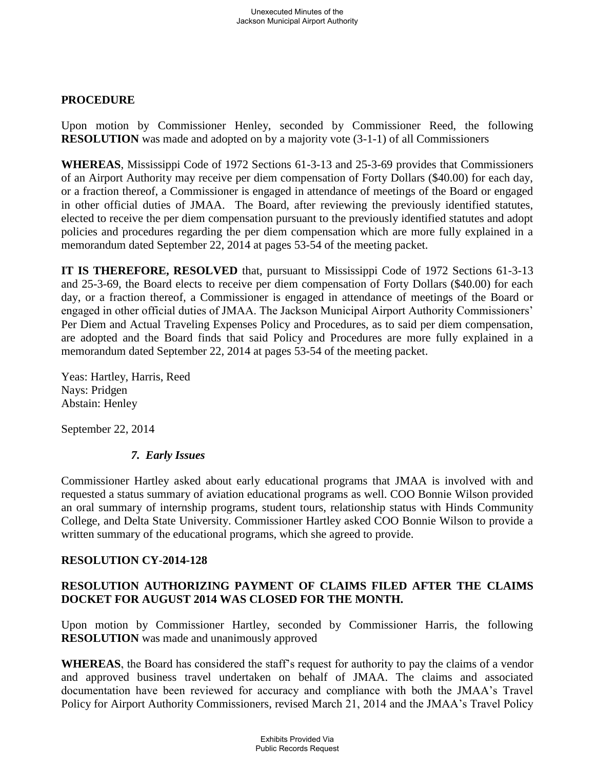# **PROCEDURE**

Upon motion by Commissioner Henley, seconded by Commissioner Reed, the following **RESOLUTION** was made and adopted on by a majority vote (3-1-1) of all Commissioners

**WHEREAS**, Mississippi Code of 1972 Sections 61-3-13 and 25-3-69 provides that Commissioners of an Airport Authority may receive per diem compensation of Forty Dollars (\$40.00) for each day, or a fraction thereof, a Commissioner is engaged in attendance of meetings of the Board or engaged in other official duties of JMAA. The Board, after reviewing the previously identified statutes, elected to receive the per diem compensation pursuant to the previously identified statutes and adopt policies and procedures regarding the per diem compensation which are more fully explained in a memorandum dated September 22, 2014 at pages 53-54 of the meeting packet.

**IT IS THEREFORE, RESOLVED** that, pursuant to Mississippi Code of 1972 Sections 61-3-13 and 25-3-69, the Board elects to receive per diem compensation of Forty Dollars (\$40.00) for each day, or a fraction thereof, a Commissioner is engaged in attendance of meetings of the Board or engaged in other official duties of JMAA. The Jackson Municipal Airport Authority Commissioners' Per Diem and Actual Traveling Expenses Policy and Procedures, as to said per diem compensation, are adopted and the Board finds that said Policy and Procedures are more fully explained in a memorandum dated September 22, 2014 at pages 53-54 of the meeting packet.

Yeas: Hartley, Harris, Reed Nays: Pridgen Abstain: Henley

September 22, 2014

# *7. Early Issues*

Commissioner Hartley asked about early educational programs that JMAA is involved with and requested a status summary of aviation educational programs as well. COO Bonnie Wilson provided an oral summary of internship programs, student tours, relationship status with Hinds Community College, and Delta State University. Commissioner Hartley asked COO Bonnie Wilson to provide a written summary of the educational programs, which she agreed to provide.

# **RESOLUTION CY-2014-128**

# **RESOLUTION AUTHORIZING PAYMENT OF CLAIMS FILED AFTER THE CLAIMS DOCKET FOR AUGUST 2014 WAS CLOSED FOR THE MONTH.**

Upon motion by Commissioner Hartley, seconded by Commissioner Harris, the following **RESOLUTION** was made and unanimously approved

**WHEREAS**, the Board has considered the staff's request for authority to pay the claims of a vendor and approved business travel undertaken on behalf of JMAA. The claims and associated documentation have been reviewed for accuracy and compliance with both the JMAA's Travel Policy for Airport Authority Commissioners, revised March 21, 2014 and the JMAA's Travel Policy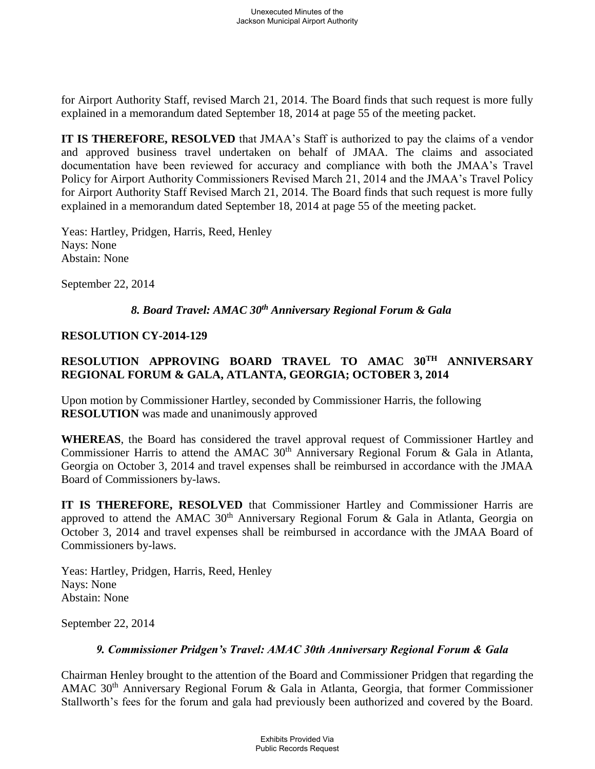for Airport Authority Staff, revised March 21, 2014. The Board finds that such request is more fully explained in a memorandum dated September 18, 2014 at page 55 of the meeting packet.

**IT IS THEREFORE, RESOLVED** that JMAA's Staff is authorized to pay the claims of a vendor and approved business travel undertaken on behalf of JMAA. The claims and associated documentation have been reviewed for accuracy and compliance with both the JMAA's Travel Policy for Airport Authority Commissioners Revised March 21, 2014 and the JMAA's Travel Policy for Airport Authority Staff Revised March 21, 2014. The Board finds that such request is more fully explained in a memorandum dated September 18, 2014 at page 55 of the meeting packet.

Yeas: Hartley, Pridgen, Harris, Reed, Henley Nays: None Abstain: None

September 22, 2014

# *8. Board Travel: AMAC 30th Anniversary Regional Forum & Gala*

# **RESOLUTION CY-2014-129**

# **RESOLUTION APPROVING BOARD TRAVEL TO AMAC 30TH ANNIVERSARY REGIONAL FORUM & GALA, ATLANTA, GEORGIA; OCTOBER 3, 2014**

Upon motion by Commissioner Hartley, seconded by Commissioner Harris, the following **RESOLUTION** was made and unanimously approved

**WHEREAS**, the Board has considered the travel approval request of Commissioner Hartley and Commissioner Harris to attend the AMAC  $30<sup>th</sup>$  Anniversary Regional Forum & Gala in Atlanta, Georgia on October 3, 2014 and travel expenses shall be reimbursed in accordance with the JMAA Board of Commissioners by-laws.

**IT IS THEREFORE, RESOLVED** that Commissioner Hartley and Commissioner Harris are approved to attend the AMAC  $30<sup>th</sup>$  Anniversary Regional Forum & Gala in Atlanta, Georgia on October 3, 2014 and travel expenses shall be reimbursed in accordance with the JMAA Board of Commissioners by-laws.

Yeas: Hartley, Pridgen, Harris, Reed, Henley Nays: None Abstain: None

September 22, 2014

# *9. Commissioner Pridgen's Travel: AMAC 30th Anniversary Regional Forum & Gala*

Chairman Henley brought to the attention of the Board and Commissioner Pridgen that regarding the AMAC  $30<sup>th</sup>$  Anniversary Regional Forum & Gala in Atlanta, Georgia, that former Commissioner Stallworth's fees for the forum and gala had previously been authorized and covered by the Board.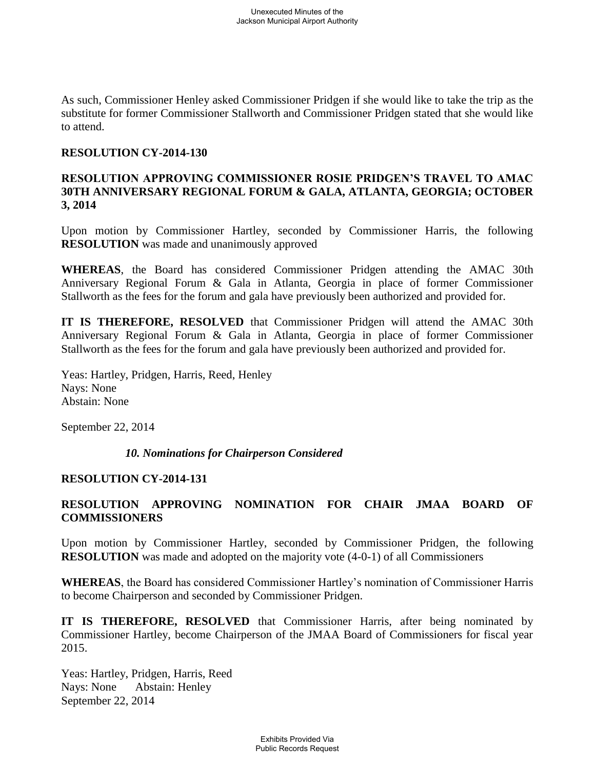As such, Commissioner Henley asked Commissioner Pridgen if she would like to take the trip as the substitute for former Commissioner Stallworth and Commissioner Pridgen stated that she would like to attend.

## **RESOLUTION CY-2014-130**

# **RESOLUTION APPROVING COMMISSIONER ROSIE PRIDGEN'S TRAVEL TO AMAC 30TH ANNIVERSARY REGIONAL FORUM & GALA, ATLANTA, GEORGIA; OCTOBER 3, 2014**

Upon motion by Commissioner Hartley, seconded by Commissioner Harris, the following **RESOLUTION** was made and unanimously approved

**WHEREAS**, the Board has considered Commissioner Pridgen attending the AMAC 30th Anniversary Regional Forum & Gala in Atlanta, Georgia in place of former Commissioner Stallworth as the fees for the forum and gala have previously been authorized and provided for.

**IT IS THEREFORE, RESOLVED** that Commissioner Pridgen will attend the AMAC 30th Anniversary Regional Forum & Gala in Atlanta, Georgia in place of former Commissioner Stallworth as the fees for the forum and gala have previously been authorized and provided for.

Yeas: Hartley, Pridgen, Harris, Reed, Henley Nays: None Abstain: None

September 22, 2014

# *10. Nominations for Chairperson Considered*

# **RESOLUTION CY-2014-131**

# **RESOLUTION APPROVING NOMINATION FOR CHAIR JMAA BOARD OF COMMISSIONERS**

Upon motion by Commissioner Hartley, seconded by Commissioner Pridgen, the following **RESOLUTION** was made and adopted on the majority vote (4-0-1) of all Commissioners

**WHEREAS**, the Board has considered Commissioner Hartley's nomination of Commissioner Harris to become Chairperson and seconded by Commissioner Pridgen.

**IT IS THEREFORE, RESOLVED** that Commissioner Harris, after being nominated by Commissioner Hartley, become Chairperson of the JMAA Board of Commissioners for fiscal year 2015.

Yeas: Hartley, Pridgen, Harris, Reed Nays: None Abstain: Henley September 22, 2014